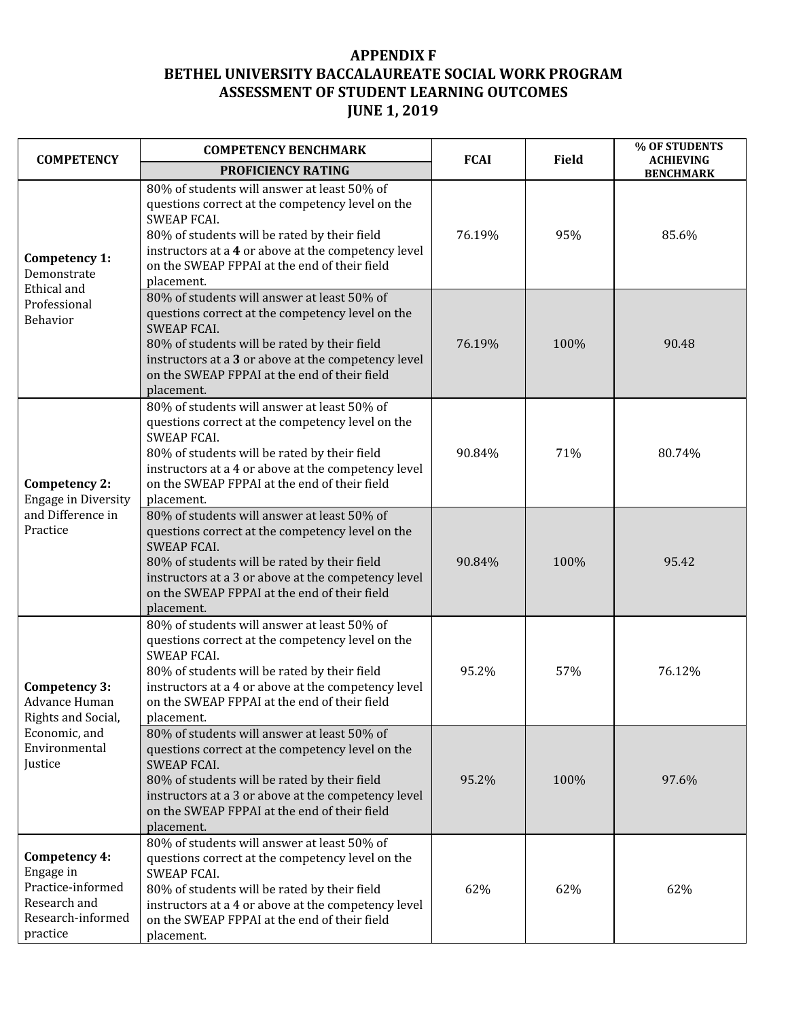## **APPENDIX F BETHEL UNIVERSITY BACCALAUREATE SOCIAL WORK PROGRAM ASSESSMENT OF STUDENT LEARNING OUTCOMES JUNE 1, 2019**

| <b>COMPETENCY</b>                                                                                 | <b>COMPETENCY BENCHMARK</b>                                                                                                                                                                                                                                                                | <b>FCAI</b> | <b>Field</b> | % OF STUDENTS<br><b>ACHIEVING</b> |
|---------------------------------------------------------------------------------------------------|--------------------------------------------------------------------------------------------------------------------------------------------------------------------------------------------------------------------------------------------------------------------------------------------|-------------|--------------|-----------------------------------|
|                                                                                                   | PROFICIENCY RATING                                                                                                                                                                                                                                                                         |             |              | <b>BENCHMARK</b>                  |
| Competency 1:<br>Demonstrate<br>Ethical and<br>Professional<br>Behavior                           | 80% of students will answer at least 50% of<br>questions correct at the competency level on the<br><b>SWEAP FCAI.</b><br>80% of students will be rated by their field<br>instructors at a 4 or above at the competency level<br>on the SWEAP FPPAI at the end of their field<br>placement. | 76.19%      | 95%          | 85.6%                             |
|                                                                                                   | 80% of students will answer at least 50% of<br>questions correct at the competency level on the<br><b>SWEAP FCAI.</b><br>80% of students will be rated by their field<br>instructors at a 3 or above at the competency level<br>on the SWEAP FPPAI at the end of their field<br>placement. | 76.19%      | 100%         | 90.48                             |
| Competency 2:<br>Engage in Diversity<br>and Difference in<br>Practice                             | 80% of students will answer at least 50% of<br>questions correct at the competency level on the<br><b>SWEAP FCAI.</b><br>80% of students will be rated by their field<br>instructors at a 4 or above at the competency level<br>on the SWEAP FPPAI at the end of their field<br>placement. | 90.84%      | 71%          | 80.74%                            |
|                                                                                                   | 80% of students will answer at least 50% of<br>questions correct at the competency level on the<br><b>SWEAP FCAI.</b><br>80% of students will be rated by their field<br>instructors at a 3 or above at the competency level<br>on the SWEAP FPPAI at the end of their field<br>placement. | 90.84%      | 100%         | 95.42                             |
| Competency 3:<br>Advance Human<br>Rights and Social,<br>Economic, and<br>Environmental<br>Justice | 80% of students will answer at least 50% of<br>questions correct at the competency level on the<br><b>SWEAP FCAI.</b><br>80% of students will be rated by their field<br>instructors at a 4 or above at the competency level<br>on the SWEAP FPPAI at the end of their field<br>placement. | 95.2%       | 57%          | 76.12%                            |
|                                                                                                   | 80% of students will answer at least 50% of<br>questions correct at the competency level on the<br><b>SWEAP FCAI.</b><br>80% of students will be rated by their field<br>instructors at a 3 or above at the competency level<br>on the SWEAP FPPAI at the end of their field<br>placement. | 95.2%       | 100%         | 97.6%                             |
| Competency 4:<br>Engage in<br>Practice-informed<br>Research and<br>Research-informed<br>practice  | 80% of students will answer at least 50% of<br>questions correct at the competency level on the<br><b>SWEAP FCAI.</b><br>80% of students will be rated by their field<br>instructors at a 4 or above at the competency level<br>on the SWEAP FPPAI at the end of their field<br>placement. | 62%         | 62%          | 62%                               |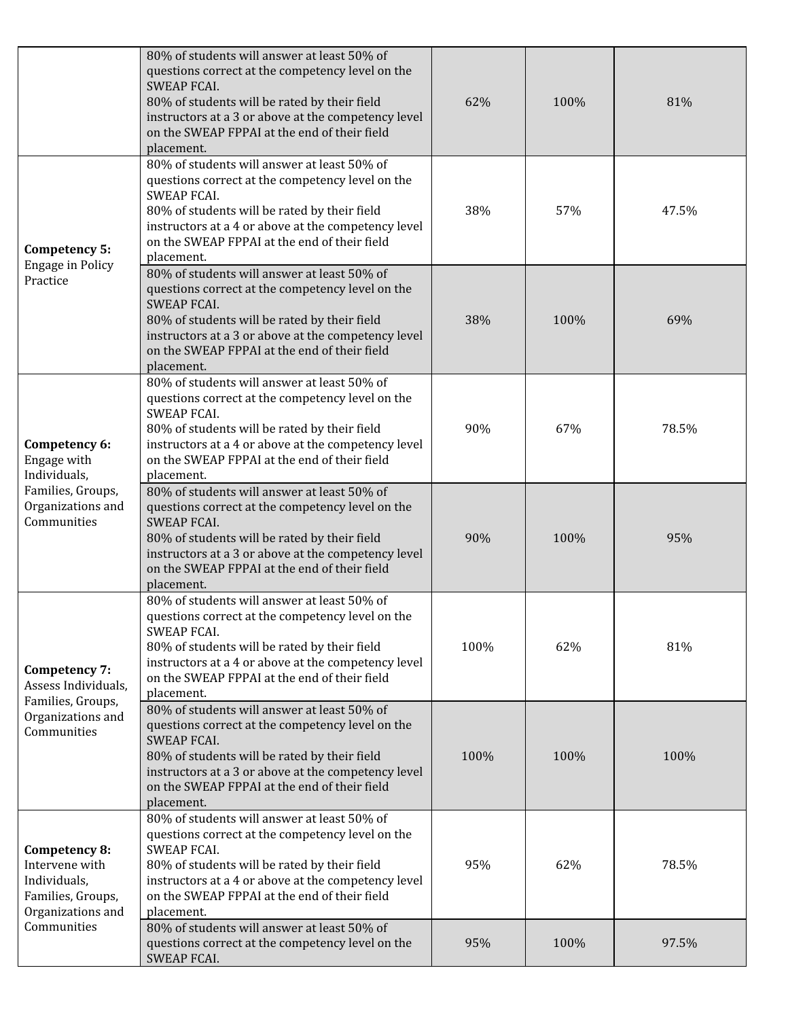|                                                                                                          | 80% of students will answer at least 50% of<br>questions correct at the competency level on the<br><b>SWEAP FCAI.</b><br>80% of students will be rated by their field<br>instructors at a 3 or above at the competency level<br>on the SWEAP FPPAI at the end of their field<br>placement. | 62%  | 100% | 81%   |
|----------------------------------------------------------------------------------------------------------|--------------------------------------------------------------------------------------------------------------------------------------------------------------------------------------------------------------------------------------------------------------------------------------------|------|------|-------|
| Competency 5:<br><b>Engage in Policy</b><br>Practice                                                     | 80% of students will answer at least 50% of<br>questions correct at the competency level on the<br><b>SWEAP FCAI.</b><br>80% of students will be rated by their field<br>instructors at a 4 or above at the competency level<br>on the SWEAP FPPAI at the end of their field<br>placement. | 38%  | 57%  | 47.5% |
|                                                                                                          | 80% of students will answer at least 50% of<br>questions correct at the competency level on the<br><b>SWEAP FCAI.</b><br>80% of students will be rated by their field<br>instructors at a 3 or above at the competency level<br>on the SWEAP FPPAI at the end of their field<br>placement. | 38%  | 100% | 69%   |
| Competency 6:<br>Engage with<br>Individuals,<br>Families, Groups,<br>Organizations and<br>Communities    | 80% of students will answer at least 50% of<br>questions correct at the competency level on the<br><b>SWEAP FCAI.</b><br>80% of students will be rated by their field<br>instructors at a 4 or above at the competency level<br>on the SWEAP FPPAI at the end of their field<br>placement. | 90%  | 67%  | 78.5% |
|                                                                                                          | 80% of students will answer at least 50% of<br>questions correct at the competency level on the<br><b>SWEAP FCAI.</b><br>80% of students will be rated by their field<br>instructors at a 3 or above at the competency level<br>on the SWEAP FPPAI at the end of their field<br>placement. | 90%  | 100% | 95%   |
| Competency 7:<br>Assess Individuals,<br>Families, Groups,<br>Organizations and<br>Communities            | 80% of students will answer at least 50% of<br>questions correct at the competency level on the<br><b>SWEAP FCAI.</b><br>80% of students will be rated by their field<br>instructors at a 4 or above at the competency level<br>on the SWEAP FPPAI at the end of their field<br>placement. | 100% | 62%  | 81%   |
|                                                                                                          | 80% of students will answer at least 50% of<br>questions correct at the competency level on the<br><b>SWEAP FCAI.</b><br>80% of students will be rated by their field<br>instructors at a 3 or above at the competency level<br>on the SWEAP FPPAI at the end of their field<br>placement. | 100% | 100% | 100%  |
| Competency 8:<br>Intervene with<br>Individuals,<br>Families, Groups,<br>Organizations and<br>Communities | 80% of students will answer at least 50% of<br>questions correct at the competency level on the<br><b>SWEAP FCAI.</b><br>80% of students will be rated by their field<br>instructors at a 4 or above at the competency level<br>on the SWEAP FPPAI at the end of their field<br>placement. | 95%  | 62%  | 78.5% |
|                                                                                                          | 80% of students will answer at least 50% of<br>questions correct at the competency level on the<br>SWEAP FCAI.                                                                                                                                                                             | 95%  | 100% | 97.5% |